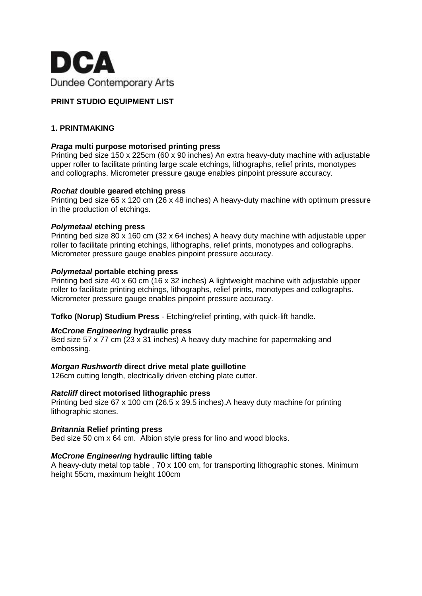

# **PRINT STUDIO EQUIPMENT LIST**

# **1. PRINTMAKING**

## *Praga* **multi purpose motorised printing press**

Printing bed size 150 x 225cm (60 x 90 inches) An extra heavy-duty machine with adjustable upper roller to facilitate printing large scale etchings, lithographs, relief prints, monotypes and collographs. Micrometer pressure gauge enables pinpoint pressure accuracy.

#### *Rochat* **double geared etching press**

Printing bed size 65 x 120 cm (26 x 48 inches) A heavy-duty machine with optimum pressure in the production of etchings.

## *Polymetaal* **etching press**

Printing bed size 80 x 160 cm (32 x 64 inches) A heavy duty machine with adjustable upper roller to facilitate printing etchings, lithographs, relief prints, monotypes and collographs. Micrometer pressure gauge enables pinpoint pressure accuracy.

## *Polymetaal* **portable etching press**

Printing bed size 40 x 60 cm (16 x 32 inches) A lightweight machine with adjustable upper roller to facilitate printing etchings, lithographs, relief prints, monotypes and collographs. Micrometer pressure gauge enables pinpoint pressure accuracy.

**Tofko (Norup) Studium Press** - Etching/relief printing, with quick-lift handle.

# *McCrone Engineering* **hydraulic press**

Bed size 57 x 77 cm (23 x 31 inches) A heavy duty machine for papermaking and embossing.

# *Morgan Rushworth* **direct drive metal plate guillotine**

126cm cutting length, electrically driven etching plate cutter.

#### *Ratcliff* **direct motorised lithographic press**

Printing bed size 67 x 100 cm (26.5 x 39.5 inches).A heavy duty machine for printing lithographic stones.

#### *Britannia* **Relief printing press**

Bed size 50 cm x 64 cm. Albion style press for lino and wood blocks.

# *McCrone Engineering* **hydraulic lifting table**

A heavy-duty metal top table , 70 x 100 cm, for transporting lithographic stones. Minimum height 55cm, maximum height 100cm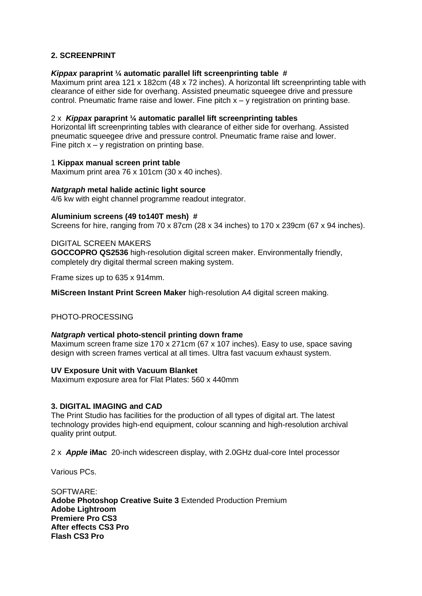# **2. SCREENPRINT**

## *Kippax* **paraprint ¼ automatic parallel lift screenprinting table #**

Maximum print area 121 x 182cm (48 x 72 inches). A horizontal lift screenprinting table with clearance of either side for overhang. Assisted pneumatic squeegee drive and pressure control. Pneumatic frame raise and lower. Fine pitch  $x - y$  registration on printing base.

## 2 x *Kippax* **paraprint ¼ automatic parallel lift screenprinting tables**

Horizontal lift screenprinting tables with clearance of either side for overhang. Assisted pneumatic squeegee drive and pressure control. Pneumatic frame raise and lower. Fine pitch  $x - y$  registration on printing base.

## 1 **Kippax manual screen print table**

Maximum print area 76 x 101cm (30 x 40 inches).

### *Natgraph* **metal halide actinic light source**

4/6 kw with eight channel programme readout integrator.

#### **Aluminium screens (49 to140T mesh) #**

Screens for hire, ranging from 70 x 87cm (28 x 34 inches) to 170 x 239cm (67 x 94 inches).

## DIGITAL SCREEN MAKERS

**GOCCOPRO QS2536** high-resolution digital screen maker. Environmentally friendly, completely dry digital thermal screen making system.

Frame sizes up to 635 x 914mm.

**MiScreen Instant Print Screen Maker** high-resolution A4 digital screen making.

# PHOTO-PROCESSING

#### *Natgraph* **vertical photo-stencil printing down frame**

Maximum screen frame size 170 x 271cm (67 x 107 inches). Easy to use, space saving design with screen frames vertical at all times. Ultra fast vacuum exhaust system.

#### **UV Exposure Unit with Vacuum Blanket**

Maximum exposure area for Flat Plates: 560 x 440mm

### **3. DIGITAL IMAGING and CAD**

The Print Studio has facilities for the production of all types of digital art. The latest technology provides high-end equipment, colour scanning and high-resolution archival quality print output.

2 x *Apple* **iMac** [20-inch widescreen display,](http://www.apple.com/imac/technology/display.html) with [2.0GHz dual-core Intel processor](http://www.apple.com/imac/technology/intel.html)

Various PCs.

SOFTWARE: **Adobe Photoshop Creative Suite 3** Extended Production Premium **Adobe Lightroom Premiere Pro CS3 After effects CS3 Pro Flash CS3 Pro**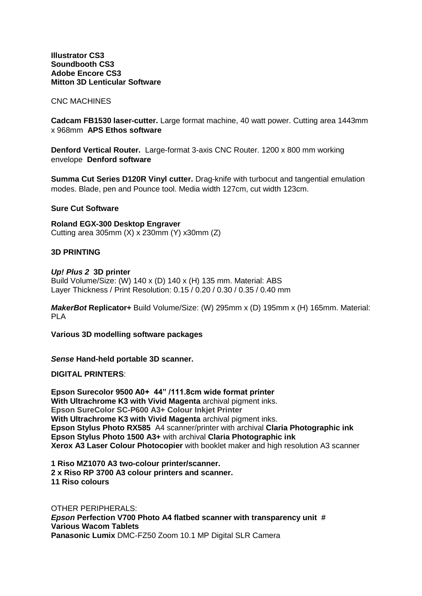**Illustrator CS3 Soundbooth CS3 Adobe Encore CS3 Mitton 3D Lenticular Software**

CNC MACHINES

**Cadcam FB1530 laser-cutter.** Large format machine, 40 watt power. Cutting area 1443mm x 968mm **APS Ethos software**

**Denford Vertical Router.** Large-format 3-axis CNC Router. 1200 x 800 mm working envelope **Denford software**

**Summa Cut Series D120R Vinyl cutter.** Drag-knife with turbocut and tangential emulation modes. Blade, pen and Pounce tool. Media width 127cm, cut width 123cm.

**Sure Cut Software**

**Roland EGX-300 Desktop Engraver** Cutting area 305mm (X) x 230mm (Y) x30mm (Z)

## **3D PRINTING**

#### *Up! Plus 2* **3D printer**

Build Volume/Size: (W) 140 x (D) 140 x (H) 135 mm. Material: ABS Layer Thickness / Print Resolution: 0.15 / 0.20 / 0.30 / 0.35 / 0.40 mm

*MakerBot* **Replicator+** Build Volume/Size: (W) 295mm x (D) 195mm x (H) 165mm. Material: PLA

**Various 3D modelling software packages**

*Sense* **Hand-held portable 3D scanner.**

**DIGITAL PRINTERS**:

**Epson Surecolor 9500 A0+ 44" /111.8cm wide format printer With Ultrachrome K3 with Vivid Magenta** archival pigment inks. **Epson SureColor SC-P600 A3+ Colour Inkjet Printer With Ultrachrome K3 with Vivid Magenta** archival pigment inks. **Epson Stylus Photo RX585** A4 scanner/printer with archival **Claria Photographic ink Epson Stylus Photo 1500 A3+** with archival **Claria Photographic ink Xerox A3 Laser Colour Photocopier** with booklet maker and high resolution A3 scanner

**1 Riso MZ1070 A3 two-colour printer/scanner. 2 x Riso RP 3700 A3 colour printers and scanner. 11 Riso colours**

OTHER PERIPHERALS: *Epson* **Perfection V700 Photo A4 flatbed scanner with transparency unit # Various Wacom Tablets Panasonic Lumix** DMC-FZ50 Zoom 10.1 MP Digital SLR Camera